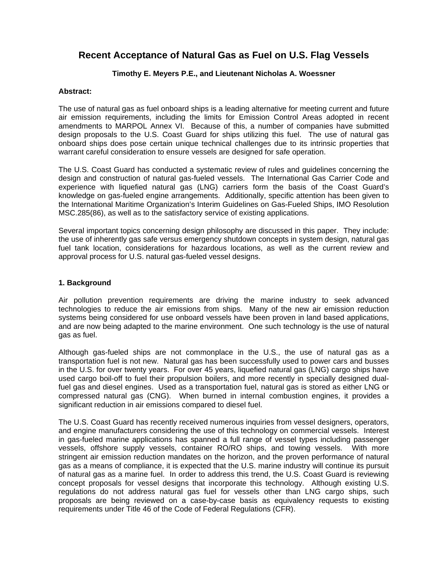# **Recent Acceptance of Natural Gas as Fuel on U.S. Flag Vessels**

# **Timothy E. Meyers P.E., and Lieutenant Nicholas A. Woessner**

# **Abstract:**

The use of natural gas as fuel onboard ships is a leading alternative for meeting current and future air emission requirements, including the limits for Emission Control Areas adopted in recent amendments to MARPOL Annex VI. Because of this, a number of companies have submitted design proposals to the U.S. Coast Guard for ships utilizing this fuel. The use of natural gas onboard ships does pose certain unique technical challenges due to its intrinsic properties that warrant careful consideration to ensure vessels are designed for safe operation.

The U.S. Coast Guard has conducted a systematic review of rules and guidelines concerning the design and construction of natural gas-fueled vessels. The International Gas Carrier Code and experience with liquefied natural gas (LNG) carriers form the basis of the Coast Guard's knowledge on gas-fueled engine arrangements. Additionally, specific attention has been given to the International Maritime Organization's Interim Guidelines on Gas-Fueled Ships, IMO Resolution MSC.285(86), as well as to the satisfactory service of existing applications.

Several important topics concerning design philosophy are discussed in this paper. They include: the use of inherently gas safe versus emergency shutdown concepts in system design, natural gas fuel tank location, considerations for hazardous locations, as well as the current review and approval process for U.S. natural gas-fueled vessel designs.

## **1. Background**

Air pollution prevention requirements are driving the marine industry to seek advanced technologies to reduce the air emissions from ships. Many of the new air emission reduction systems being considered for use onboard vessels have been proven in land based applications, and are now being adapted to the marine environment. One such technology is the use of natural gas as fuel.

Although gas-fueled ships are not commonplace in the U.S., the use of natural gas as a transportation fuel is not new. Natural gas has been successfully used to power cars and busses in the U.S. for over twenty years. For over 45 years, liquefied natural gas (LNG) cargo ships have used cargo boil-off to fuel their propulsion boilers, and more recently in specially designed dualfuel gas and diesel engines. Used as a transportation fuel, natural gas is stored as either LNG or compressed natural gas (CNG). When burned in internal combustion engines, it provides a significant reduction in air emissions compared to diesel fuel.

The U.S. Coast Guard has recently received numerous inquiries from vessel designers, operators, and engine manufacturers considering the use of this technology on commercial vessels. Interest in gas-fueled marine applications has spanned a full range of vessel types including passenger vessels, offshore supply vessels, container RO/RO ships, and towing vessels. With more stringent air emission reduction mandates on the horizon, and the proven performance of natural gas as a means of compliance, it is expected that the U.S. marine industry will continue its pursuit of natural gas as a marine fuel. In order to address this trend, the U.S. Coast Guard is reviewing concept proposals for vessel designs that incorporate this technology. Although existing U.S. regulations do not address natural gas fuel for vessels other than LNG cargo ships, such proposals are being reviewed on a case-by-case basis as equivalency requests to existing requirements under Title 46 of the Code of Federal Regulations (CFR).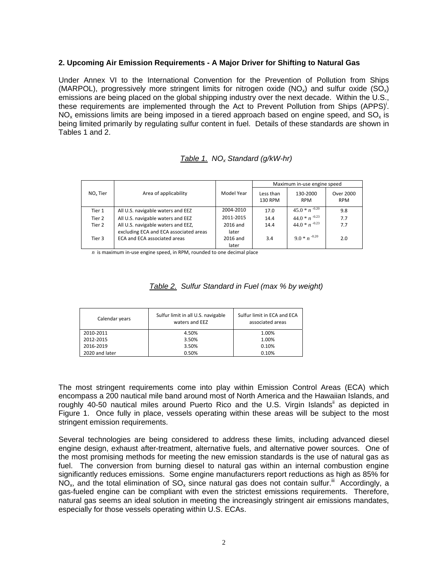# **2. Upcoming Air Emission Requirements - A Major Driver for Shifting to Natural Gas**

Under Annex VI to the International Convention for the Prevention of Pollution from Ships (MARPOL), progressively more stringent limits for nitrogen oxide ( $NO<sub>x</sub>$ ) and sulfur oxide ( $SO<sub>x</sub>$ ) emissions are being placed on the global shipping industry over the next decade. Within the U.S., these requirements are implemented through the Act to Prevent Pollution from Ships (APPS)<sup>i</sup>.  $NO<sub>x</sub>$  emissions limits are being imposed in a tiered approach based on engine speed, and SO<sub>x</sub> is being limited primarily by regulating sulfur content in fuel. Details of these standards are shown in Tables 1 and 2.

|  | Table 1. NO <sub>x</sub> Standard (g/kW-hr) |  |
|--|---------------------------------------------|--|
|--|---------------------------------------------|--|

|                      |                                        |                   | Maximum in-use engine speed |                        |                         |
|----------------------|----------------------------------------|-------------------|-----------------------------|------------------------|-------------------------|
| NO <sub>v</sub> Tier | Area of applicability                  | Model Year        | Less than<br><b>130 RPM</b> | 130-2000<br><b>RPM</b> | Over 2000<br><b>RPM</b> |
| Tier 1               | All U.S. navigable waters and EEZ      | 2004-2010         | 17.0                        | $45.0 * n^{-0.20}$     | 9.8                     |
| Tier 2               | All U.S. navigable waters and EEZ      | 2011-2015         | 14.4                        | $44.0 * n^{-0.23}$     | 7.7                     |
| Tier 2               | All U.S. navigable waters and EEZ,     | $2016$ and        | 14.4                        | $44.0 * n^{-0.23}$     | 7.7                     |
|                      | excluding ECA and ECA associated areas | later             |                             |                        |                         |
| Tier 3               | ECA and ECA associated areas           | 2016 and<br>later | 3.4                         | $9.0 * n^{-0.20}$      | 2.0                     |

 *n* is maximum in‐use engine speed, in RPM, rounded to one decimal place

| Table 2. Sulfur Standard in Fuel (max % by weight) |  |
|----------------------------------------------------|--|
|                                                    |  |

| Calendar years | Sulfur limit in all U.S. navigable<br>waters and EEZ | Sulfur limit in ECA and ECA<br>associated areas |
|----------------|------------------------------------------------------|-------------------------------------------------|
| 2010-2011      | 4.50%                                                | 1.00%                                           |
| 2012-2015      | 3.50%                                                | 1.00%                                           |
| 2016-2019      | 3.50%                                                | 0.10%                                           |
| 2020 and later | 0.50%                                                | 0.10%                                           |

The most stringent requirements come into play within Emission Control Areas (ECA) which encompass a 200 nautical mile band around most of North America and the Hawaiian Islands, and roughly 40-50 nautical miles around Puerto Rico and the U.S. Virgin Islands" as depicted in Figure 1. Once fully in place, vessels operating within these areas will be subject to the most stringent emission requirements.

Several technologies are being considered to address these limits, including advanced diesel engine design, exhaust after-treatment, alternative fuels, and alternative power sources. One of the most promising methods for meeting the new emission standards is the use of natural gas as fuel. The conversion from burning diesel to natural gas within an internal combustion engine significantly reduces emissions. Some engine manufacturers report reductions as high as 85% for  $NO<sub>x</sub>$ , and the total elimination of  $SO<sub>x</sub>$  since natural gas does not contain sulfur.<sup>iii</sup> Accordingly, a gas-fueled engine can be compliant with even the strictest emissions requirements. Therefore, natural gas seems an ideal solution in meeting the increasingly stringent air emissions mandates, especially for those vessels operating within U.S. ECAs.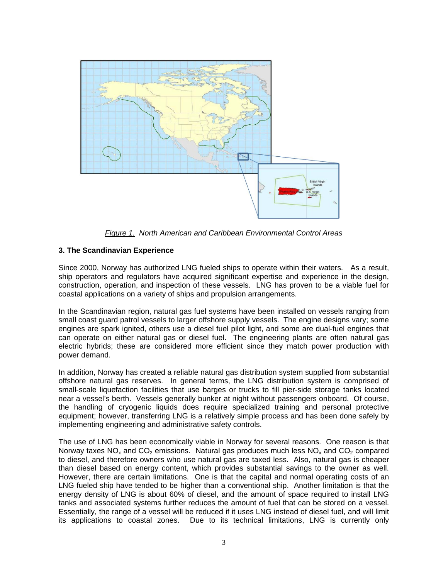

*Figure 1. North American and Caribbean Environmental Control Areas* 

# **3. The Scandinavian Experience**

Since 2000, Norway has authorized LNG fueled ships to operate within their waters. As a result, ship operators and regulators have acquired significant expertise and experience in the design, construction, operation, and inspection of these vessels. LNG has proven to be a viable fuel for coastal applications on a variety of ships and propulsion arrangements.

In the Scandinavian region, natural gas fuel systems have been installed on vessels ranging from small coast guard patrol vessels to larger offshore supply vessels. The engine designs vary; some engines are spark ignited, others use a diesel fuel pilot light, and some are dual-fuel engines that can operate on either natural gas or diesel fuel. The engineering plants are often natural gas electric hybrids; these are considered more efficient since they match power production with power demand.

In addition, Norway has created a reliable natural gas distribution system supplied from substantial offshore natural gas reserves. In general terms, the LNG distribution system is comprised of small-scale liquefaction facilities that use barges or trucks to fill pier-side storage tanks located near a vessel's berth. Vessels generally bunker at night without passengers onboard. Of course, the handling of cryogenic liquids does require specialized training and personal protective equipment; however, transferring LNG is a relatively simple process and has been done safely by implementing engineering and administrative safety controls.

The use of LNG has been economically viable in Norway for several reasons. One reason is that Norway taxes  $NO<sub>x</sub>$  and  $CO<sub>2</sub>$  emissions. Natural gas produces much less  $NO<sub>x</sub>$  and  $CO<sub>2</sub>$  compared to diesel, and therefore owners who use natural gas are taxed less. Also, natural gas is cheaper than diesel based on energy content, which provides substantial savings to the owner as well. However, there are certain limitations. One is that the capital and normal operating costs of an LNG fueled ship have tended to be higher than a conventional ship. Another limitation is that the energy density of LNG is about 60% of diesel, and the amount of space required to install LNG tanks and associated systems further reduces the amount of fuel that can be stored on a vessel. Essentially, the range of a vessel will be reduced if it uses LNG instead of diesel fuel, and will limit its applications to coastal zones. Due to its technical limitations, LNG is currently only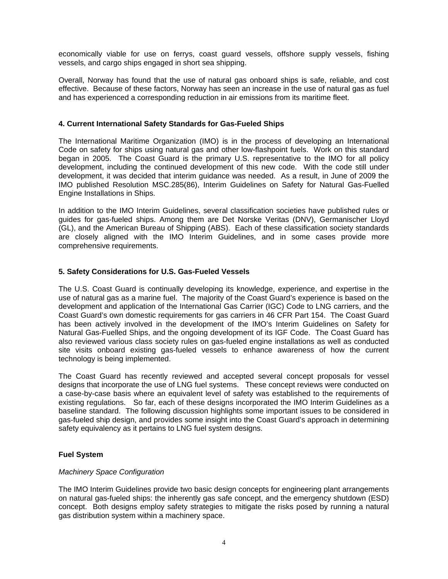economically viable for use on ferrys, coast guard vessels, offshore supply vessels, fishing vessels, and cargo ships engaged in short sea shipping.

Overall, Norway has found that the use of natural gas onboard ships is safe, reliable, and cost effective. Because of these factors, Norway has seen an increase in the use of natural gas as fuel and has experienced a corresponding reduction in air emissions from its maritime fleet.

## **4. Current International Safety Standards for Gas-Fueled Ships**

The International Maritime Organization (IMO) is in the process of developing an International Code on safety for ships using natural gas and other low-flashpoint fuels. Work on this standard began in 2005. The Coast Guard is the primary U.S. representative to the IMO for all policy development, including the continued development of this new code. With the code still under development, it was decided that interim guidance was needed. As a result, in June of 2009 the IMO published Resolution MSC.285(86), Interim Guidelines on Safety for Natural Gas-Fuelled Engine Installations in Ships.

In addition to the IMO Interim Guidelines, several classification societies have published rules or guides for gas-fueled ships. Among them are Det Norske Veritas (DNV), Germanischer Lloyd (GL), and the American Bureau of Shipping (ABS). Each of these classification society standards are closely aligned with the IMO Interim Guidelines, and in some cases provide more comprehensive requirements.

## **5. Safety Considerations for U.S. Gas-Fueled Vessels**

The U.S. Coast Guard is continually developing its knowledge, experience, and expertise in the use of natural gas as a marine fuel. The majority of the Coast Guard's experience is based on the development and application of the International Gas Carrier (IGC) Code to LNG carriers, and the Coast Guard's own domestic requirements for gas carriers in 46 CFR Part 154. The Coast Guard has been actively involved in the development of the IMO's Interim Guidelines on Safety for Natural Gas-Fuelled Ships, and the ongoing development of its IGF Code. The Coast Guard has also reviewed various class society rules on gas-fueled engine installations as well as conducted site visits onboard existing gas-fueled vessels to enhance awareness of how the current technology is being implemented.

The Coast Guard has recently reviewed and accepted several concept proposals for vessel designs that incorporate the use of LNG fuel systems. These concept reviews were conducted on a case-by-case basis where an equivalent level of safety was established to the requirements of existing regulations. So far, each of these designs incorporated the IMO Interim Guidelines as a baseline standard. The following discussion highlights some important issues to be considered in gas-fueled ship design, and provides some insight into the Coast Guard's approach in determining safety equivalency as it pertains to LNG fuel system designs.

# **Fuel System**

# *Machinery Space Configuration*

The IMO Interim Guidelines provide two basic design concepts for engineering plant arrangements on natural gas-fueled ships: the inherently gas safe concept, and the emergency shutdown (ESD) concept. Both designs employ safety strategies to mitigate the risks posed by running a natural gas distribution system within a machinery space.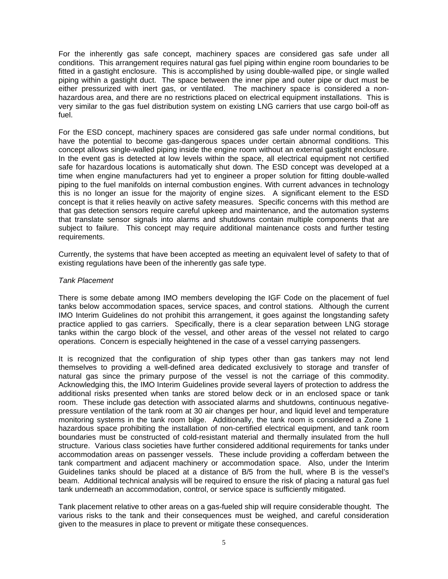For the inherently gas safe concept, machinery spaces are considered gas safe under all conditions. This arrangement requires natural gas fuel piping within engine room boundaries to be fitted in a gastight enclosure. This is accomplished by using double-walled pipe, or single walled piping within a gastight duct. The space between the inner pipe and outer pipe or duct must be either pressurized with inert gas, or ventilated. The machinery space is considered a nonhazardous area, and there are no restrictions placed on electrical equipment installations. This is very similar to the gas fuel distribution system on existing LNG carriers that use cargo boil-off as fuel.

For the ESD concept, machinery spaces are considered gas safe under normal conditions, but have the potential to become gas-dangerous spaces under certain abnormal conditions. This concept allows single-walled piping inside the engine room without an external gastight enclosure. In the event gas is detected at low levels within the space, all electrical equipment not certified safe for hazardous locations is automatically shut down. The ESD concept was developed at a time when engine manufacturers had yet to engineer a proper solution for fitting double-walled piping to the fuel manifolds on internal combustion engines. With current advances in technology this is no longer an issue for the majority of engine sizes. A significant element to the ESD concept is that it relies heavily on active safety measures. Specific concerns with this method are that gas detection sensors require careful upkeep and maintenance, and the automation systems that translate sensor signals into alarms and shutdowns contain multiple components that are subject to failure. This concept may require additional maintenance costs and further testing requirements.

Currently, the systems that have been accepted as meeting an equivalent level of safety to that of existing regulations have been of the inherently gas safe type.

#### *Tank Placement*

There is some debate among IMO members developing the IGF Code on the placement of fuel tanks below accommodation spaces, service spaces, and control stations. Although the current IMO Interim Guidelines do not prohibit this arrangement, it goes against the longstanding safety practice applied to gas carriers. Specifically, there is a clear separation between LNG storage tanks within the cargo block of the vessel, and other areas of the vessel not related to cargo operations. Concern is especially heightened in the case of a vessel carrying passengers.

It is recognized that the configuration of ship types other than gas tankers may not lend themselves to providing a well-defined area dedicated exclusively to storage and transfer of natural gas since the primary purpose of the vessel is not the carriage of this commodity. Acknowledging this, the IMO Interim Guidelines provide several layers of protection to address the additional risks presented when tanks are stored below deck or in an enclosed space or tank room. These include gas detection with associated alarms and shutdowns, continuous negativepressure ventilation of the tank room at 30 air changes per hour, and liquid level and temperature monitoring systems in the tank room bilge. Additionally, the tank room is considered a Zone 1 hazardous space prohibiting the installation of non-certified electrical equipment, and tank room boundaries must be constructed of cold-resistant material and thermally insulated from the hull structure. Various class societies have further considered additional requirements for tanks under accommodation areas on passenger vessels. These include providing a cofferdam between the tank compartment and adjacent machinery or accommodation space. Also, under the Interim Guidelines tanks should be placed at a distance of B/5 from the hull, where B is the vessel's beam. Additional technical analysis will be required to ensure the risk of placing a natural gas fuel tank underneath an accommodation, control, or service space is sufficiently mitigated.

Tank placement relative to other areas on a gas-fueled ship will require considerable thought. The various risks to the tank and their consequences must be weighed, and careful consideration given to the measures in place to prevent or mitigate these consequences.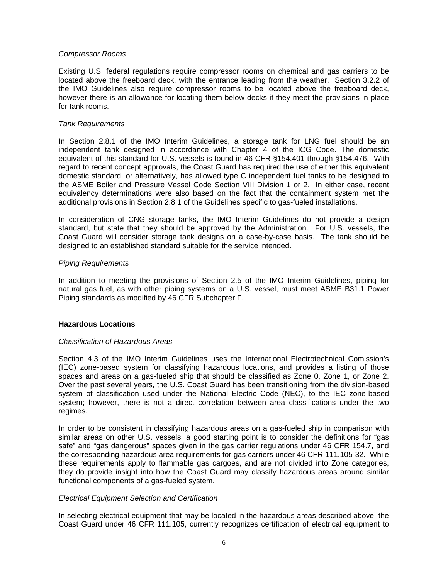## *Compressor Rooms*

Existing U.S. federal regulations require compressor rooms on chemical and gas carriers to be located above the freeboard deck, with the entrance leading from the weather. Section 3.2.2 of the IMO Guidelines also require compressor rooms to be located above the freeboard deck, however there is an allowance for locating them below decks if they meet the provisions in place for tank rooms.

## *Tank Requirements*

In Section 2.8.1 of the IMO Interim Guidelines, a storage tank for LNG fuel should be an independent tank designed in accordance with Chapter 4 of the ICG Code. The domestic equivalent of this standard for U.S. vessels is found in 46 CFR §154.401 through §154.476. With regard to recent concept approvals, the Coast Guard has required the use of either this equivalent domestic standard, or alternatively, has allowed type C independent fuel tanks to be designed to the ASME Boiler and Pressure Vessel Code Section VIII Division 1 or 2. In either case, recent equivalency determinations were also based on the fact that the containment system met the additional provisions in Section 2.8.1 of the Guidelines specific to gas-fueled installations.

In consideration of CNG storage tanks, the IMO Interim Guidelines do not provide a design standard, but state that they should be approved by the Administration. For U.S. vessels, the Coast Guard will consider storage tank designs on a case-by-case basis. The tank should be designed to an established standard suitable for the service intended.

## *Piping Requirements*

In addition to meeting the provisions of Section 2.5 of the IMO Interim Guidelines, piping for natural gas fuel, as with other piping systems on a U.S. vessel, must meet ASME B31.1 Power Piping standards as modified by 46 CFR Subchapter F.

#### **Hazardous Locations**

#### *Classification of Hazardous Areas*

Section 4.3 of the IMO Interim Guidelines uses the International Electrotechnical Comission's (IEC) zone-based system for classifying hazardous locations, and provides a listing of those spaces and areas on a gas-fueled ship that should be classified as Zone 0, Zone 1, or Zone 2. Over the past several years, the U.S. Coast Guard has been transitioning from the division-based system of classification used under the National Electric Code (NEC), to the IEC zone-based system; however, there is not a direct correlation between area classifications under the two regimes.

In order to be consistent in classifying hazardous areas on a gas-fueled ship in comparison with similar areas on other U.S. vessels, a good starting point is to consider the definitions for "gas safe" and "gas dangerous" spaces given in the gas carrier regulations under 46 CFR 154.7, and the corresponding hazardous area requirements for gas carriers under 46 CFR 111.105-32. While these requirements apply to flammable gas cargoes, and are not divided into Zone categories, they do provide insight into how the Coast Guard may classify hazardous areas around similar functional components of a gas-fueled system.

#### *Electrical Equipment Selection and Certification*

In selecting electrical equipment that may be located in the hazardous areas described above, the Coast Guard under 46 CFR 111.105, currently recognizes certification of electrical equipment to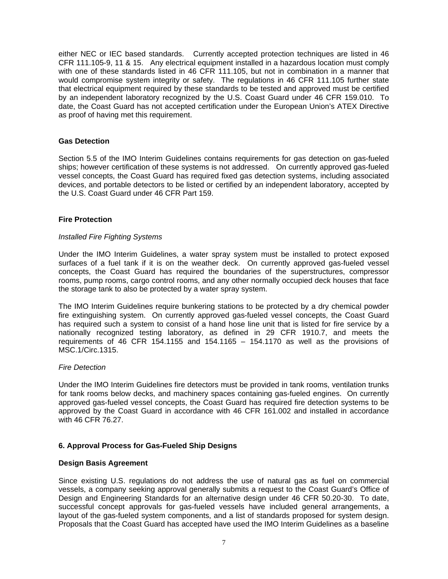either NEC or IEC based standards. Currently accepted protection techniques are listed in 46 CFR 111.105-9, 11 & 15. Any electrical equipment installed in a hazardous location must comply with one of these standards listed in 46 CFR 111.105, but not in combination in a manner that would compromise system integrity or safety. The regulations in 46 CFR 111.105 further state that electrical equipment required by these standards to be tested and approved must be certified by an independent laboratory recognized by the U.S. Coast Guard under 46 CFR 159.010. To date, the Coast Guard has not accepted certification under the European Union's ATEX Directive as proof of having met this requirement.

# **Gas Detection**

Section 5.5 of the IMO Interim Guidelines contains requirements for gas detection on gas-fueled ships; however certification of these systems is not addressed. On currently approved gas-fueled vessel concepts, the Coast Guard has required fixed gas detection systems, including associated devices, and portable detectors to be listed or certified by an independent laboratory, accepted by the U.S. Coast Guard under 46 CFR Part 159.

## **Fire Protection**

## *Installed Fire Fighting Systems*

Under the IMO Interim Guidelines, a water spray system must be installed to protect exposed surfaces of a fuel tank if it is on the weather deck. On currently approved gas-fueled vessel concepts, the Coast Guard has required the boundaries of the superstructures, compressor rooms, pump rooms, cargo control rooms, and any other normally occupied deck houses that face the storage tank to also be protected by a water spray system.

The IMO Interim Guidelines require bunkering stations to be protected by a dry chemical powder fire extinguishing system. On currently approved gas-fueled vessel concepts, the Coast Guard has required such a system to consist of a hand hose line unit that is listed for fire service by a nationally recognized testing laboratory, as defined in 29 CFR 1910.7, and meets the requirements of 46 CFR 154.1155 and 154.1165 – 154.1170 as well as the provisions of MSC.1/Circ.1315.

#### *Fire Detection*

Under the IMO Interim Guidelines fire detectors must be provided in tank rooms, ventilation trunks for tank rooms below decks, and machinery spaces containing gas-fueled engines. On currently approved gas-fueled vessel concepts, the Coast Guard has required fire detection systems to be approved by the Coast Guard in accordance with 46 CFR 161.002 and installed in accordance with 46 CFR 76.27.

# **6. Approval Process for Gas-Fueled Ship Designs**

#### **Design Basis Agreement**

Since existing U.S. regulations do not address the use of natural gas as fuel on commercial vessels, a company seeking approval generally submits a request to the Coast Guard's Office of Design and Engineering Standards for an alternative design under 46 CFR 50.20-30. To date, successful concept approvals for gas-fueled vessels have included general arrangements, a layout of the gas-fueled system components, and a list of standards proposed for system design. Proposals that the Coast Guard has accepted have used the IMO Interim Guidelines as a baseline